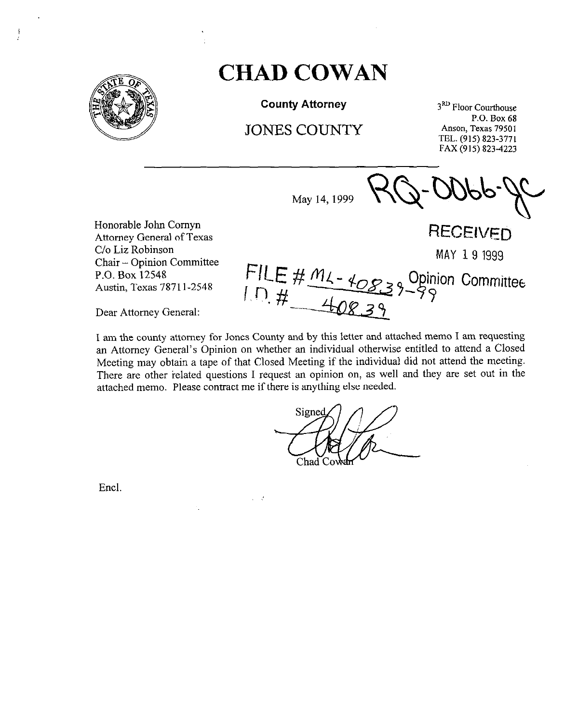

 $\mathbf{f}$ 

## **CHAD COWAN**

**County Attorney** 

JONES COUNTY

May 14, 1999

3<sup>RD</sup> Floor Courthouse P.O. Box 68 Anson, Texas 79501 TEL. (915) 823-3771 FAX (915) 823-4223

Honorable John Comyn Attorney General of Texas C/o Liz-Robinson P.O. Box 12548 Austin, Texas 7871 l-2548

**RECEIVED** Chair - Opinion Committee MAY 191999 Opinion Committee

Dear Attorney General:

I am the county attorney for Jones County and by this letter and attached memo I am requesting an Attorney General's Opinion on whether an individual otherwise entitled to attend a Closed Meeting may obtain a tape of that Closed Meeting if the individual did not attend the meeting. There are other related questions I request an opinion on, as well and they are set out in the attached memo. Please contract me if there is anything else needed.

 $\mathcal{L}$ 

Signed Chad

Encl.